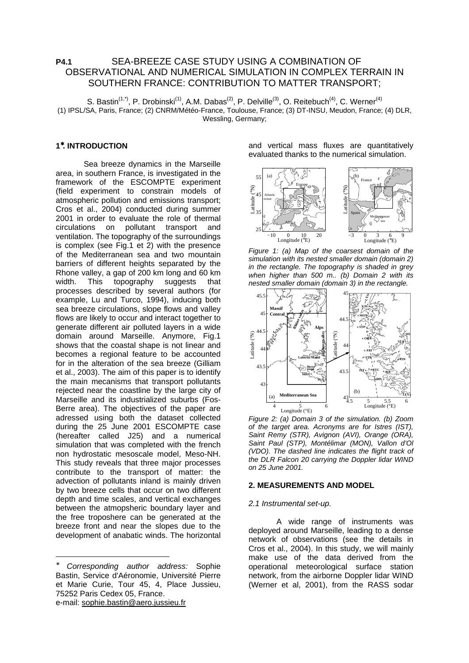# **P4.1** SEA-BREEZE CASE STUDY USING A COMBINATION OF OBSERVATIONAL AND NUMERICAL SIMULATION IN COMPLEX TERRAIN IN SOUTHERN FRANCE: CONTRIBUTION TO MATTER TRANSPORT;

S. Bastin<sup>(1,\*)</sup>, P. Drobinski<sup>(1)</sup>, A.M. Dabas<sup>(2)</sup>, P. Delville<sup>(3)</sup>, O. Reitebuch<sup>(4)</sup>, C. Werner<sup>(4)</sup> (1) IPSL/SA, Paris, France; (2) CNRM/Météo-France, Toulouse, France; (3) DT-INSU, Meudon, France; (4) DLR, Wessling, Germany;

# **1** <sup>∗</sup>**. INTRODUCTION**

Sea breeze dynamics in the Marseille area, in southern France, is investigated in the framework of the ESCOMPTE experiment (field experiment to constrain models of atmospheric pollution and emissions transport; Cros et al., 2004) conducted during summer 2001 in order to evaluate the role of thermal circulations on pollutant transport and ventilation. The topography of the surroundings is complex (see Fig.1 et 2) with the presence of the Mediterranean sea and two mountain barriers of different heights separated by the Rhone valley, a gap of 200 km long and 60 km width. This topography suggests that processes described by several authors (for example, Lu and Turco, 1994), inducing both sea breeze circulations, slope flows and valley flows are likely to occur and interact together to generate different air polluted layers in a wide domain around Marseille. Anymore, Fig.1 shows that the coastal shape is not linear and becomes a regional feature to be accounted for in the alteration of the sea breeze (Gilliam et al., 2003). The aim of this paper is to identify the main mecanisms that transport pollutants rejected near the coastline by the large city of Marseille and its industrialized suburbs (Fos-Berre area). The objectives of the paper are adressed using both the dataset collected during the 25 June 2001 ESCOMPTE case (hereafter called J25) and a numerical simulation that was completed with the french non hydrostatic mesoscale model, Meso-NH. This study reveals that three major processes contribute to the transport of matter: the advection of pollutants inland is mainly driven by two breeze cells that occur on two different depth and time scales, and vertical exchanges between the atmopsheric boundary layer and the free troposhere can be generated at the breeze front and near the slopes due to the development of anabatic winds. The horizontal

Corresponding author address: Sophie Bastin, Service d'Aéronomie, Université Pierre et Marie Curie, Tour 45, 4, Place Jussieu, 75252 Paris Cedex 05, France. e-mail: sophie.bastin@aero.jussieu.fr

-

and vertical mass fluxes are quantitatively evaluated thanks to the numerical simulation.



Figure 1: (a) Map of the coarsest domain of the simulation with its nested smaller domain (domain 2) in the rectangle. The topography is shaded in grey when higher than 500 m.. (b) Domain 2 with its nested smaller domain (domain 3) in the rectangle.



Figure 2: (a) Domain 3 of the simulation. (b) Zoom of the target area. Acronyms are for Istres (IST), Saint Remy (STR), Avignon (AVI), Orange (ORA), Saint Paul (STP), Montélimar (MON), Vallon d'Ol (VDO). The dashed line indicates the flight track of the DLR Falcon 20 carrying the Doppler lidar WIND on 25 June 2001.

### **2. MEASUREMENTS AND MODEL**

### 2.1 Instrumental set-up.

 A wide range of instruments was deployed around Marseille, leading to a dense network of observations (see the details in Cros et al., 2004). In this study, we will mainly make use of the data derived from the operational meteorological surface station network, from the airborne Doppler lidar WIND (Werner et al, 2001), from the RASS sodar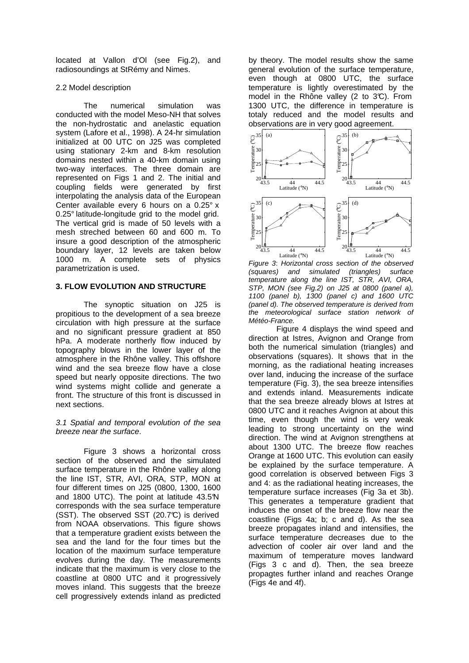located at Vallon d'Ol (see Fig.2), and radiosoundings at StRémy and Nimes.

# 2.2 Model description

 The numerical simulation was conducted with the model Meso-NH that solves the non-hydrostatic and anelastic equation system (Lafore et al., 1998). A 24-hr simulation initialized at 00 UTC on J25 was completed using stationary 2-km and 8-km resolution domains nested within a 40-km domain using two-way interfaces. The three domain are represented on Figs 1 and 2. The initial and coupling fields were generated by first interpolating the analysis data of the European Center available every 6 hours on a 0.25° x 0.25° latitude-longitude grid to the model grid. The vertical grid is made of 50 levels with a mesh streched between 60 and 600 m. To insure a good description of the atmospheric boundary layer, 12 levels are taken below 1000 m. A complete sets of physics parametrization is used.

# **3. FLOW EVOLUTION AND STRUCTURE**

The synoptic situation on J25 is propitious to the development of a sea breeze circulation with high pressure at the surface and no significant pressure gradient at 850 hPa. A moderate northerly flow induced by topography blows in the lower layer of the atmosphere in the Rhône valley. This offshore wind and the sea breeze flow have a close speed but nearly opposite directions. The two wind systems might collide and generate a front. The structure of this front is discussed in next sections.

# 3.1 Spatial and temporal evolution of the sea breeze near the surface.

Figure 3 shows a horizontal cross section of the observed and the simulated surface temperature in the Rhône valley along the line IST, STR, AVI, ORA, STP, MON at four different times on J25 (0800, 1300, 1600 and 1800 UTC). The point at latitude 43.5°N corresponds with the sea surface temperature (SST). The observed SST (20.7°C) is derived from NOAA observations. This figure shows that a temperature gradient exists between the sea and the land for the four times but the location of the maximum surface temperature evolves during the day. The measurements indicate that the maximum is very close to the coastline at 0800 UTC and it progressively moves inland. This suggests that the breeze cell progressively extends inland as predicted

by theory. The model results show the same general evolution of the surface temperature, even though at 0800 UTC, the surface temperature is lightly overestimated by the model in the Rhône valley (2 to  $3\textdegree C$ ). From 1300 UTC, the difference in temperature is totaly reduced and the model results and observations are in very good agreement.



Figure 3: Horizontal cross section of the observed (squares) and simulated (triangles) surface temperature along the line IST, STR, AVI, ORA, STP, MON (see Fig.2) on J25 at 0800 (panel a), 1100 (panel b), 1300 (panel c) and 1600 UTC (panel d). The observed temperature is derived from the meteorological surface station network of Météo-France.

Figure 4 displays the wind speed and direction at Istres, Avignon and Orange from both the numerical simulation (triangles) and observations (squares). It shows that in the morning, as the radiational heating increases over land, inducing the increase of the surface temperature (Fig. 3), the sea breeze intensifies and extends inland. Measurements indicate that the sea breeze already blows at Istres at 0800 UTC and it reaches Avignon at about this time, even though the wind is very weak leading to strong uncertainty on the wind direction. The wind at Avignon strengthens at about 1300 UTC. The breeze flow reaches Orange at 1600 UTC. This evolution can easily be explained by the surface temperature. A good correlation is observed between Figs 3 and 4: as the radiational heating increases, the temperature surface increases (Fig 3a et 3b). This generates a temperature gradient that induces the onset of the breeze flow near the coastline (Figs 4a; b; c and d). As the sea breeze propagates inland and intensifies, the surface temperature decreases due to the advection of cooler air over land and the maximum of temperature moves landward (Figs 3 c and d). Then, the sea breeze propagtes further inland and reaches Orange (Figs 4e and 4f).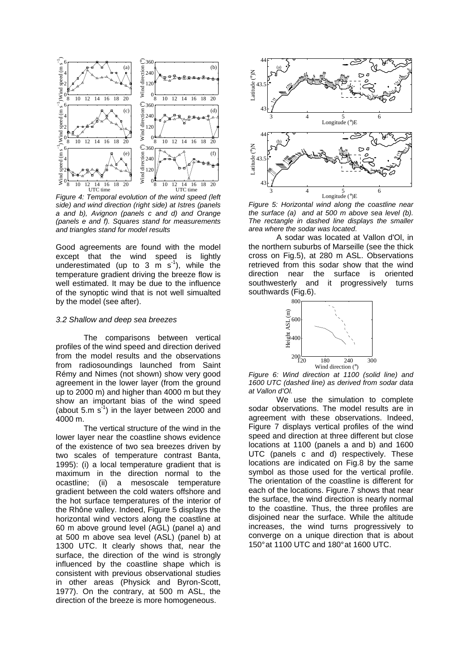

Figure 4: Temporal evolution of the wind speed (left side) and wind direction (right side) at Istres (panels a and b), Avignon (panels c and d) and Orange (panels e and f). Squares stand for measurements and triangles stand for model results

Good agreements are found with the model except that the wind speed is lightly underestimated (up to 3 m  $s^{-1}$ ), while the temperature gradient driving the breeze flow is well estimated. It may be due to the influence of the synoptic wind that is not well simualted by the model (see after).

#### 3.2 Shallow and deep sea breezes

The comparisons between vertical profiles of the wind speed and direction derived from the model results and the observations from radiosoundings launched from Saint Rémy and Nimes (not shown) show very good agreement in the lower layer (from the ground up to 2000 m) and higher than 4000 m but they show an important bias of the wind speed (about 5.m  $s^{-1}$ ) in the layer between 2000 and 4000 m.

The vertical structure of the wind in the lower layer near the coastline shows evidence of the existence of two sea breezes driven by two scales of temperature contrast Banta, 1995): (i) a local temperature gradient that is maximum in the direction normal to the ocastline: (ii) a mesoscale temperature (ii) a mesoscale temperature gradient between the cold waters offshore and the hot surface temperatures of the interior of the Rhône valley. Indeed, Figure 5 displays the horizontal wind vectors along the coastline at 60 m above ground level (AGL) (panel a) and at 500 m above sea level (ASL) (panel b) at 1300 UTC. It clearly shows that, near the surface, the direction of the wind is strongly influenced by the coastline shape which is consistent with previous observational studies in other areas (Physick and Byron-Scott, 1977). On the contrary, at 500 m ASL, the direction of the breeze is more homogeneous.



Figure 5: Horizontal wind along the coastline near the surface (a) and at 500 m above sea level (b). The rectangle in dashed line displays the smaller area where the sodar was located.

A sodar was located at Vallon d'Ol, in the northern suburbs of Marseille (see the thick cross on Fig.5), at 280 m ASL. Observations retrieved from this sodar show that the wind direction near the surface is oriented southwesterly and it progressively turns southwards (Fig.6).



Figure 6: Wind direction at 1100 (solid line) and 1600 UTC (dashed line) as derived from sodar data at Vallon d'Ol.

We use the simulation to complete sodar observations. The model results are in agreement with these observations. Indeed, Figure 7 displays vertical profiles of the wind speed and direction at three different but close locations at 1100 (panels a and b) and 1600 UTC (panels c and d) respectively. These locations are indicated on Fig.8 by the same symbol as those used for the vertical profile. The orientation of the coastline is different for each of the locations. Figure.7 shows that near the surface, the wind direction is nearly normal to the coastline. Thus, the three profiles are disjoined near the surface. While the altitude increases, the wind turns progressively to converge on a unique direction that is about 150° at 1100 UTC and 180° at 1600 UTC.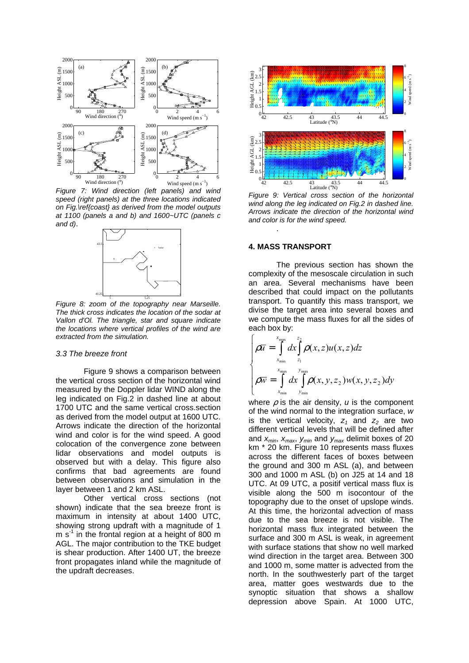

Figure 7: Wind direction (left panels) and wind speed (right panels) at the three locations indicated on Fig.\ref{coast} as derived from the model outputs at 1100 (panels a and b) and 1600~UTC (panels c and d).



Figure 8: zoom of the topography near Marseille. The thick cross indicates the location of the sodar at Vallon d'Ol. The triangle, star and square indicate the locations where vertical profiles of the wind are extracted from the simulation.

#### 3.3 The breeze front

Figure 9 shows a comparison between the vertical cross section of the horizontal wind measured by the Doppler lidar WIND along the leg indicated on Fig.2 in dashed line at about 1700 UTC and the same vertical cross.section as derived from the model output at 1600 UTC. Arrows indicate the direction of the horizontal wind and color is for the wind speed. A good colocation of the convergence zone between lidar observations and model outputs is observed but with a delay. This figure also confirms that bad agreements are found between observations and simulation in the layer between 1 and 2 km ASL.

Other vertical cross sections (not shown) indicate that the sea breeze front is maximum in intensity at about 1400 UTC, showing strong updraft with a magnitude of 1  $m s<sup>-1</sup>$  in the frontal region at a height of 800 m AGL. The major contribution to the TKE budget is shear production. After 1400 UT, the breeze front propagates inland while the magnitude of the updraft decreases.



Figure 9: Vertical cross section of the horizontal wind along the leg indicated on Fig.2 in dashed line. Arrows indicate the direction of the horizontal wind and color is for the wind speed. .

## **4. MASS TRANSPORT**

The previous section has shown the complexity of the mesoscale circulation in such an area. Several mechanisms have been described that could impact on the pollutants transport. To quantify this mass transport, we divise the target area into several boxes and we compute the mass fluxes for all the sides of each box by:

$$
\begin{cases}\n\rho \overline{u} = \int_{x_{\min}}^{x_{\max}} dx \int_{z_1}^{z_2} \rho(x, z) u(x, z) dz \\
\rho \overline{w} = \int_{x_{\min}}^{x_{\max}} dx \int_{y_{\min}}^{y_{\max}} \rho(x, y, z_2) w(x, y, z_2) dy\n\end{cases}
$$

where  $\rho$  is the air density,  $u$  is the component of the wind normal to the integration surface, w is the vertical velocity,  $z_1$  and  $z_2$  are two different vertical levels that will be defined after and  $x_{min}$ ,  $x_{max}$ ,  $y_{min}$  and  $y_{max}$  delimit boxes of 20 km \* 20 km. Figure 10 represents mass fluxes across the different faces of boxes between the ground and 300 m ASL (a), and between 300 and 1000 m ASL (b) on J25 at 14 and 18 UTC. At 09 UTC, a positif vertical mass flux is visible along the 500 m isocontour of the topography due to the onset of upslope winds. At this time, the horizontal advection of mass due to the sea breeze is not visible. The horizontal mass flux integrated between the surface and 300 m ASL is weak, in agreement with surface stations that show no well marked wind direction in the target area. Between 300 and 1000 m, some matter is advected from the north. In the southwesterly part of the target area, matter goes westwards due to the synoptic situation that shows a shallow depression above Spain. At 1000 UTC,